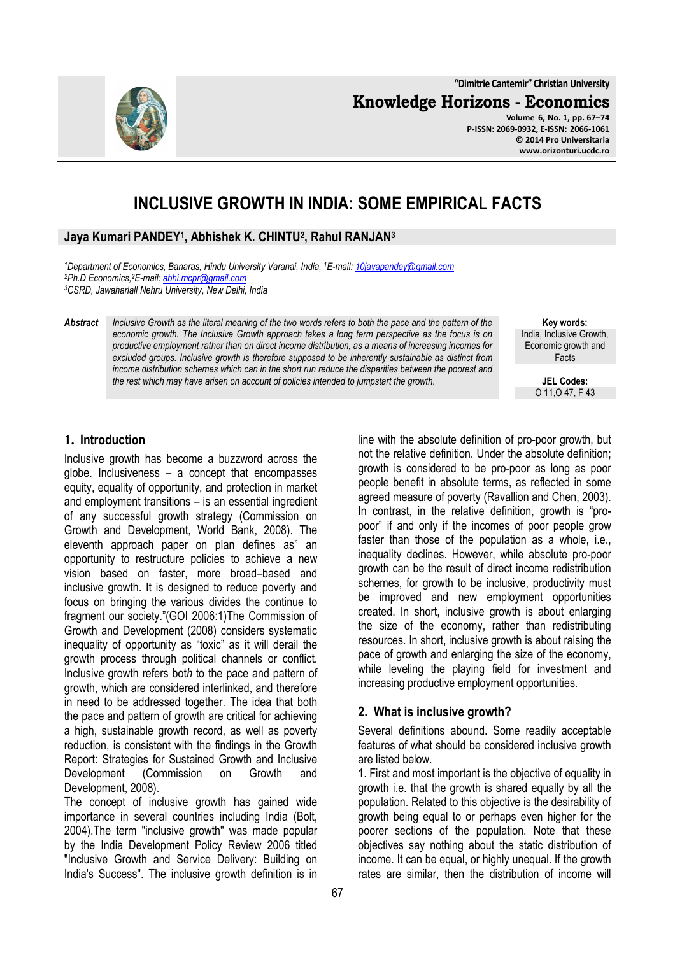**"Dimitrie Cantemir" Christian University**

**Knowledge Horizons - Economics**

**Volume 6, No. 1, pp. 67–74 P-ISSN: 2069-0932, E-ISSN: 2066-1061 © 2014 Pro Universitaria www.orizonturi.ucdc.ro**

# **INCLUSIVE GROWTH IN INDIA: SOME EMPIRICAL FACTS**

## **Jaya Kumari PANDEY<sup>1</sup> , Abhishek K. CHINTU<sup>2</sup> , Rahul RANJAN<sup>3</sup>**

*<sup>1</sup>Department of Economics, Banaras, Hindu University Varanai, India, <sup>1</sup>E-mail: 10jayapandey@gmail.com <sup>2</sup>Ph.D Economics,<sup>2</sup>E-mail: abhi.mcpr@gmail.com <sup>3</sup>CSRD, Jawaharlall Nehru University, New Delhi, India*

*Abstract Inclusive Growth as the literal meaning of the two words refers to both the pace and the pattern of the economic growth. The Inclusive Growth approach takes a long term perspective as the focus is on productive employment rather than on direct income distribution, as a means of increasing incomes for excluded groups. Inclusive growth is therefore supposed to be inherently sustainable as distinct from income distribution schemes which can in the short run reduce the disparities between the poorest and the rest which may have arisen on account of policies intended to jumpstart the growth.* 

**Key words:** India, Inclusive Growth, Economic growth and Facts

> **JEL Codes:** O 11,O 47, F 43

#### **1. Introduction**

Inclusive growth has become a buzzword across the globe. Inclusiveness – a concept that encompasses equity, equality of opportunity, and protection in market and employment transitions – is an essential ingredient of any successful growth strategy (Commission on Growth and Development, World Bank, 2008). The eleventh approach paper on plan defines as" an opportunity to restructure policies to achieve a new vision based on faster, more broad–based and inclusive growth. It is designed to reduce poverty and focus on bringing the various divides the continue to fragment our society."(GOI 2006:1)The Commission of Growth and Development (2008) considers systematic inequality of opportunity as "toxic" as it will derail the growth process through political channels or conflict. Inclusive growth refers bot*h* to the pace and pattern of growth, which are considered interlinked, and therefore in need to be addressed together. The idea that both the pace and pattern of growth are critical for achieving a high, sustainable growth record, as well as poverty reduction, is consistent with the findings in the Growth Report: Strategies for Sustained Growth and Inclusive Development (Commission on Growth and Development, 2008).

The concept of inclusive growth has gained wide importance in several countries including India (Bolt, 2004).The term "inclusive growth" was made popular by the India Development Policy Review 2006 titled "Inclusive Growth and Service Delivery: Building on India's Success". The inclusive growth definition is in line with the absolute definition of pro-poor growth, but not the relative definition. Under the absolute definition; growth is considered to be pro-poor as long as poor people benefit in absolute terms, as reflected in some agreed measure of poverty (Ravallion and Chen, 2003). In contrast, in the relative definition, growth is "propoor" if and only if the incomes of poor people grow faster than those of the population as a whole, i.e., inequality declines. However, while absolute pro-poor growth can be the result of direct income redistribution schemes, for growth to be inclusive, productivity must be improved and new employment opportunities created. In short, inclusive growth is about enlarging the size of the economy, rather than redistributing resources. In short, inclusive growth is about raising the pace of growth and enlarging the size of the economy, while leveling the playing field for investment and increasing productive employment opportunities.

#### **2. What is inclusive growth?**

Several definitions abound. Some readily acceptable features of what should be considered inclusive growth are listed below.

1. First and most important is the objective of equality in growth i.e. that the growth is shared equally by all the population. Related to this objective is the desirability of growth being equal to or perhaps even higher for the poorer sections of the population. Note that these objectives say nothing about the static distribution of income. It can be equal, or highly unequal. If the growth rates are similar, then the distribution of income will

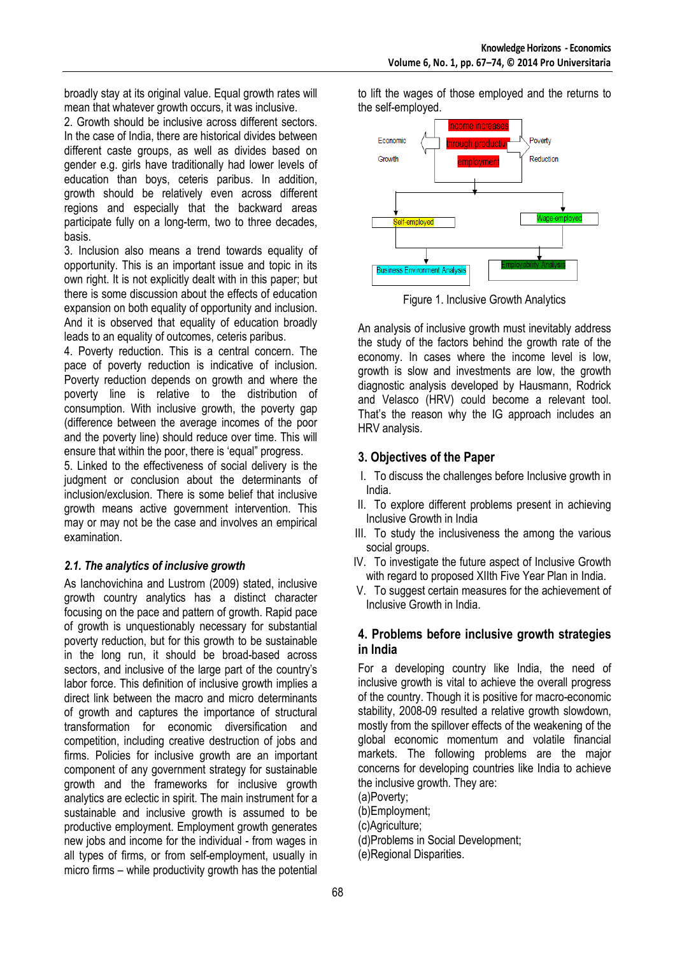broadly stay at its original value. Equal growth rates will mean that whatever growth occurs, it was inclusive.

2. Growth should be inclusive across different sectors. In the case of India, there are historical divides between different caste groups, as well as divides based on gender e.g. girls have traditionally had lower levels of education than boys, ceteris paribus. In addition, growth should be relatively even across different regions and especially that the backward areas participate fully on a long-term, two to three decades, basis.

3. Inclusion also means a trend towards equality of opportunity. This is an important issue and topic in its own right. It is not explicitly dealt with in this paper; but there is some discussion about the effects of education expansion on both equality of opportunity and inclusion. And it is observed that equality of education broadly leads to an equality of outcomes, ceteris paribus.

4. Poverty reduction. This is a central concern. The pace of poverty reduction is indicative of inclusion. Poverty reduction depends on growth and where the poverty line is relative to the distribution of consumption. With inclusive growth, the poverty gap (difference between the average incomes of the poor and the poverty line) should reduce over time. This will ensure that within the poor, there is 'equal" progress.

5. Linked to the effectiveness of social delivery is the judgment or conclusion about the determinants of inclusion/exclusion. There is some belief that inclusive growth means active government intervention. This may or may not be the case and involves an empirical examination.

#### *2.1. The analytics of inclusive growth*

As Ianchovichina and Lustrom (2009) stated, inclusive growth country analytics has a distinct character focusing on the pace and pattern of growth. Rapid pace of growth is unquestionably necessary for substantial poverty reduction, but for this growth to be sustainable in the long run, it should be broad-based across sectors, and inclusive of the large part of the country's labor force. This definition of inclusive growth implies a direct link between the macro and micro determinants of growth and captures the importance of structural transformation for economic diversification and competition, including creative destruction of jobs and firms. Policies for inclusive growth are an important component of any government strategy for sustainable growth and the frameworks for inclusive growth analytics are eclectic in spirit. The main instrument for a sustainable and inclusive growth is assumed to be productive employment. Employment growth generates new jobs and income for the individual - from wages in all types of firms, or from self-employment, usually in micro firms – while productivity growth has the potential

to lift the wages of those employed and the returns to the self-employed.



Figure 1. Inclusive Growth Analytics

An analysis of inclusive growth must inevitably address the study of the factors behind the growth rate of the economy. In cases where the income level is low, growth is slow and investments are low, the growth diagnostic analysis developed by Hausmann, Rodrick and Velasco (HRV) could become a relevant tool. That's the reason why the IG approach includes an HRV analysis.

## **3. Objectives of the Paper**

- I. To discuss the challenges before Inclusive growth in India.
- II. To explore different problems present in achieving Inclusive Growth in India
- III. To study the inclusiveness the among the various social groups.
- IV. To investigate the future aspect of Inclusive Growth with regard to proposed XIIth Five Year Plan in India.
- V. To suggest certain measures for the achievement of Inclusive Growth in India.

#### **4. Problems before inclusive growth strategies in India**

For a developing country like India, the need of inclusive growth is vital to achieve the overall progress of the country. Though it is positive for macro-economic stability, 2008-09 resulted a relative growth slowdown, mostly from the spillover effects of the weakening of the global economic momentum and volatile financial markets. The following problems are the major concerns for developing countries like India to achieve the inclusive growth. They are:

- (a)Poverty;
- (b)Employment;
- (c)Agriculture;
- (d)Problems in Social Development;
- (e)Regional Disparities.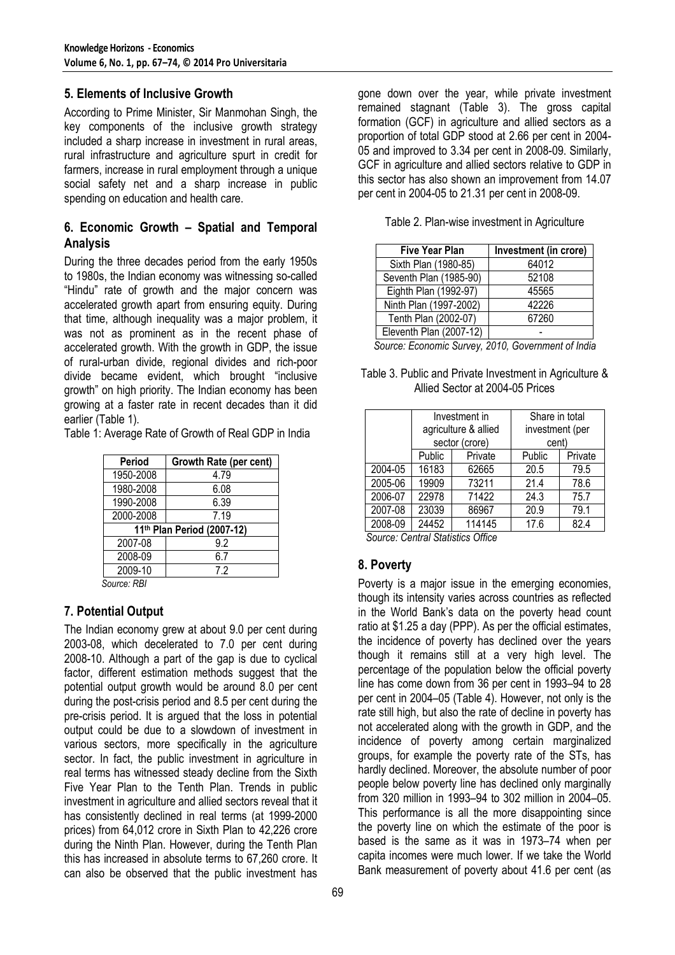#### **5. Elements of Inclusive Growth**

According to Prime Minister, Sir Manmohan Singh, the key components of the inclusive growth strategy included a sharp increase in investment in rural areas, rural infrastructure and agriculture spurt in credit for farmers, increase in rural employment through a unique social safety net and a sharp increase in public spending on education and health care.

## **6. Economic Growth – Spatial and Temporal Analysis**

During the three decades period from the early 1950s to 1980s, the Indian economy was witnessing so-called "Hindu" rate of growth and the major concern was accelerated growth apart from ensuring equity. During that time, although inequality was a major problem, it was not as prominent as in the recent phase of accelerated growth. With the growth in GDP, the issue of rural-urban divide, regional divides and rich-poor divide became evident, which brought "inclusive growth" on high priority. The Indian economy has been growing at a faster rate in recent decades than it did earlier (Table 1).

Table 1: Average Rate of Growth of Real GDP in India

| Period                     | Growth Rate (per cent) |  |  |  |  |
|----------------------------|------------------------|--|--|--|--|
| 1950-2008                  | 4.79                   |  |  |  |  |
| 1980-2008                  | 6.08                   |  |  |  |  |
| 1990-2008                  | 6.39                   |  |  |  |  |
| 2000-2008                  | 7.19                   |  |  |  |  |
| 11th Plan Period (2007-12) |                        |  |  |  |  |
| 2007-08                    | 9.2                    |  |  |  |  |
| 2008-09                    | 6.7                    |  |  |  |  |
| 2009-10                    | 7.2                    |  |  |  |  |
|                            |                        |  |  |  |  |

*Source: RBI* 

#### **7. Potential Output**

The Indian economy grew at about 9.0 per cent during 2003-08, which decelerated to 7.0 per cent during 2008-10. Although a part of the gap is due to cyclical factor, different estimation methods suggest that the potential output growth would be around 8.0 per cent during the post-crisis period and 8.5 per cent during the pre-crisis period. It is argued that the loss in potential output could be due to a slowdown of investment in various sectors, more specifically in the agriculture sector. In fact, the public investment in agriculture in real terms has witnessed steady decline from the Sixth Five Year Plan to the Tenth Plan. Trends in public investment in agriculture and allied sectors reveal that it has consistently declined in real terms (at 1999-2000 prices) from 64,012 crore in Sixth Plan to 42,226 crore during the Ninth Plan. However, during the Tenth Plan this has increased in absolute terms to 67,260 crore. It can also be observed that the public investment has

gone down over the year, while private investment remained stagnant (Table 3). The gross capital formation (GCF) in agriculture and allied sectors as a proportion of total GDP stood at 2.66 per cent in 2004- 05 and improved to 3.34 per cent in 2008-09. Similarly, GCF in agriculture and allied sectors relative to GDP in this sector has also shown an improvement from 14.07 per cent in 2004-05 to 21.31 per cent in 2008-09.

|  | Table 2. Plan-wise investment in Agriculture |  |
|--|----------------------------------------------|--|
|  |                                              |  |

| <b>Five Year Plan</b>   | Investment (in crore) |
|-------------------------|-----------------------|
| Sixth Plan (1980-85)    | 64012                 |
| Seventh Plan (1985-90)  | 52108                 |
| Eighth Plan (1992-97)   | 45565                 |
| Ninth Plan (1997-2002)  | 42226                 |
| Tenth Plan (2002-07)    | 67260                 |
| Eleventh Plan (2007-12) |                       |

 *Source: Economic Survey, 2010, Government of India*

Table 3. Public and Private Investment in Agriculture & Allied Sector at 2004-05 Prices

|         | Investment in<br>agriculture & allied<br>sector (crore) |         | Share in total<br>investment (per<br>cent) |         |  |
|---------|---------------------------------------------------------|---------|--------------------------------------------|---------|--|
|         | Public                                                  | Private | Public                                     | Private |  |
| 2004-05 | 16183                                                   | 62665   | 20.5                                       | 79.5    |  |
| 2005-06 | 19909                                                   | 73211   | 21.4                                       | 78.6    |  |
| 2006-07 | 22978                                                   | 71422   | 24.3                                       | 75.7    |  |
| 2007-08 | 23039                                                   | 86967   | 20.9                                       | 79.1    |  |
| 2008-09 | 24452                                                   | 114145  | 17.6                                       | 82.4    |  |

*Source: Central Statistics Office* 

#### **8. Poverty**

Poverty is a major issue in the emerging economies, though its intensity varies across countries as reflected in the World Bank's data on the poverty head count ratio at \$1.25 a day (PPP). As per the official estimates, the incidence of poverty has declined over the years though it remains still at a very high level. The percentage of the population below the official poverty line has come down from 36 per cent in 1993–94 to 28 per cent in 2004–05 (Table 4). However, not only is the rate still high, but also the rate of decline in poverty has not accelerated along with the growth in GDP, and the incidence of poverty among certain marginalized groups, for example the poverty rate of the STs, has hardly declined. Moreover, the absolute number of poor people below poverty line has declined only marginally from 320 million in 1993–94 to 302 million in 2004–05. This performance is all the more disappointing since the poverty line on which the estimate of the poor is based is the same as it was in 1973–74 when per capita incomes were much lower. If we take the World Bank measurement of poverty about 41.6 per cent (as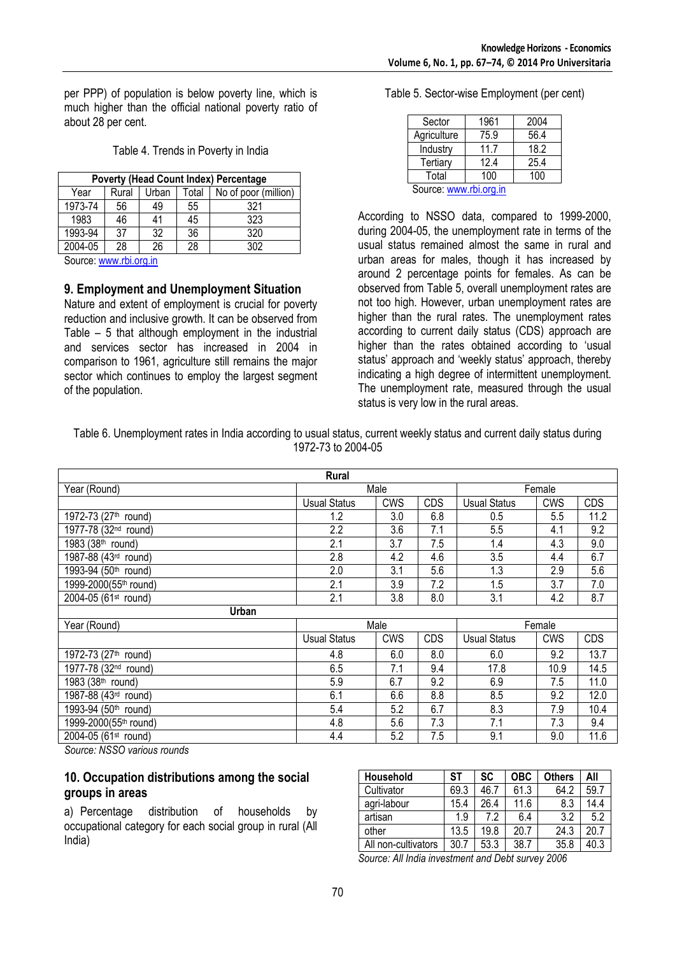per PPP) of population is below poverty line, which is much higher than the official national poverty ratio of about 28 per cent.

| <b>Poverty (Head Count Index) Percentage</b>            |    |    |    |     |  |  |  |
|---------------------------------------------------------|----|----|----|-----|--|--|--|
| Rural<br>Total<br>No of poor (million)<br>Urban<br>Year |    |    |    |     |  |  |  |
| 1973-74                                                 | 56 | 49 | 55 | 321 |  |  |  |
| 1983                                                    | 46 | 41 | 45 | 323 |  |  |  |
| 1993-94                                                 | 37 | 32 | 36 | 320 |  |  |  |
| 2004-05                                                 | 28 | 26 | 28 | 302 |  |  |  |

Source: www.rbi.org.in

**9. Employment and Unemployment Situation** 

Nature and extent of employment is crucial for poverty reduction and inclusive growth. It can be observed from Table – 5 that although employment in the industrial and services sector has increased in 2004 in comparison to 1961, agriculture still remains the major sector which continues to employ the largest segment of the population.

Table 5. Sector-wise Employment (per cent)

| Sector      | 1961 | 2004 |
|-------------|------|------|
| Agriculture | 75.9 | 56.4 |
| Industry    | 11.7 | 18.2 |
| Tertiary    | 12.4 | 25.4 |
| Total       | 100  | 100  |
|             | . .  |      |

Source: www.rbi.org.in

According to NSSO data, compared to 1999-2000, during 2004-05, the unemployment rate in terms of the usual status remained almost the same in rural and urban areas for males, though it has increased by around 2 percentage points for females. As can be observed from Table 5, overall unemployment rates are not too high. However, urban unemployment rates are higher than the rural rates. The unemployment rates according to current daily status (CDS) approach are higher than the rates obtained according to 'usual status' approach and 'weekly status' approach, thereby indicating a high degree of intermittent unemployment. The unemployment rate, measured through the usual status is very low in the rural areas.

Table 6. Unemployment rates in India according to usual status, current weekly status and current daily status during 1972-73 to 2004-05

| Rural                            |                     |            |        |                     |            |            |  |
|----------------------------------|---------------------|------------|--------|---------------------|------------|------------|--|
| Year (Round)                     | Male                |            | Female |                     |            |            |  |
|                                  | <b>Usual Status</b> | <b>CWS</b> | CDS    | <b>Usual Status</b> | <b>CWS</b> | <b>CDS</b> |  |
| 1972-73 (27 <sup>th</sup> round) | 1.2                 | 3.0        | 6.8    | 0.5                 | 5.5        | 11.2       |  |
| 1977-78 (32 <sup>nd</sup> round) | 2.2                 | 3.6        | 7.1    | 5.5                 | 4.1        | 9.2        |  |
| 1983 (38 <sup>th</sup> round)    | 2.1                 | 3.7        | 7.5    | 1.4                 | 4.3        | 9.0        |  |
| 1987-88 (43rd round)             | 2.8                 | 4.2        | 4.6    | 3.5                 | 4.4        | 6.7        |  |
| 1993-94 (50 <sup>th</sup> round) | 2.0                 | 3.1        | 5.6    | 1.3                 | 2.9        | 5.6        |  |
| 1999-2000(55th round)            | 2.1                 | 3.9        | 7.2    | 1.5                 | 3.7        | 7.0        |  |
| 2004-05 (61st round)             | 2.1                 | 3.8        | 8.0    | 3.1                 | 4.2        | 8.7        |  |
| Urban                            |                     |            |        |                     |            |            |  |
| Year (Round)                     |                     | Male       |        | Female              |            |            |  |
|                                  | Usual Status        | <b>CWS</b> | CDS    | Usual Status        | <b>CWS</b> | <b>CDS</b> |  |
| 1972-73 (27 <sup>th</sup> round) | 4.8                 | 6.0        | 8.0    | 6.0                 | 9.2        | 13.7       |  |
| 1977-78 (32 <sup>nd</sup> round) | 6.5                 | 7.1        | 9.4    | 17.8                | 10.9       | 14.5       |  |
| 1983 (38th round)                | 5.9                 | 6.7        | 9.2    | 6.9                 | 7.5        | 11.0       |  |
| 1987-88 (43rd round)             | 6.1                 | 6.6        | 8.8    | 8.5                 | 9.2        | 12.0       |  |
| 1993-94 (50th round)             | 5.4                 | 5.2        | 6.7    | 8.3                 | 7.9        | 10.4       |  |
| 1999-2000(55th round)            | 4.8                 | 5.6        | 7.3    | 7.1                 | 7.3        | 9.4        |  |
| 2004-05 (61st round)             | 4.4                 | 5.2        | 7.5    | 9.1                 | 9.0        | 11.6       |  |

*Source: NSSO various rounds* 

#### **10. Occupation distributions among the social groups in areas**

a) Percentage distribution of households by occupational category for each social group in rural (All India)

| Household           | SТ   | SC   | <b>OBC</b> | <b>Others</b> | All  |
|---------------------|------|------|------------|---------------|------|
| Cultivator          | 69.3 | 46.7 | 61.3       | 64.2          | 59.7 |
| agri-labour         | 15.4 | 26.4 | 11.6       | 8.3           | 14.4 |
| artisan             | 1.9  | 7.2  | 6.4        | 3.2           | 5.2  |
| other               | 13.5 | 19.8 | 20.7       | 24.3          | 20.7 |
| All non-cultivators | 30.7 | 53.3 | 38.7       | 35.8          | 40.3 |

*Source: All India investment and Debt survey 2006*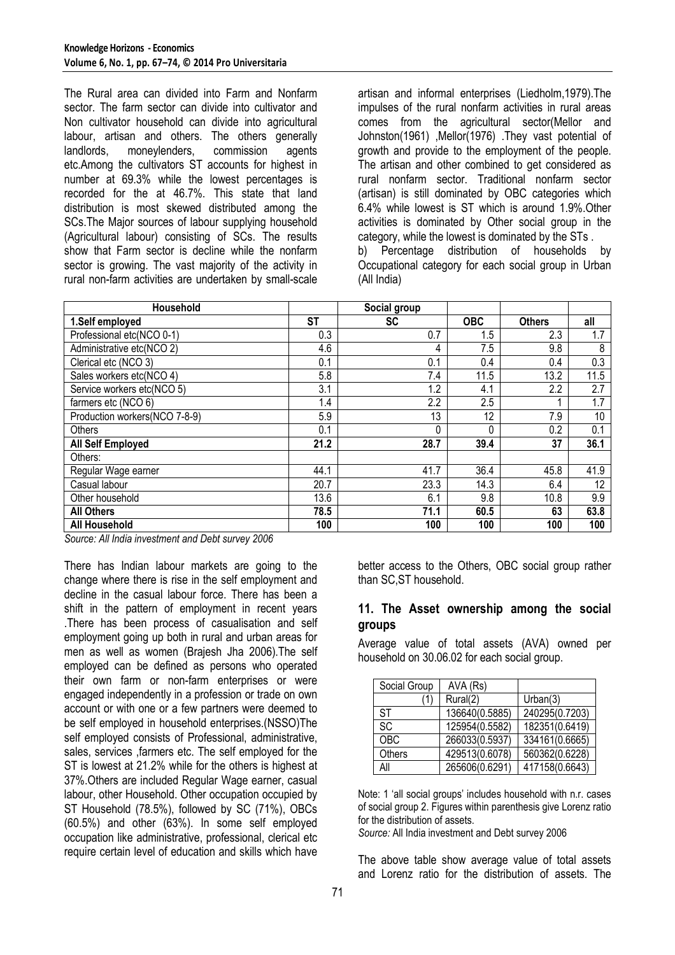The Rural area can divided into Farm and Nonfarm sector. The farm sector can divide into cultivator and Non cultivator household can divide into agricultural labour, artisan and others. The others generally landlords, moneylenders, commission agents etc.Among the cultivators ST accounts for highest in number at 69.3% while the lowest percentages is recorded for the at 46.7%. This state that land distribution is most skewed distributed among the SCs.The Major sources of labour supplying household (Agricultural labour) consisting of SCs. The results show that Farm sector is decline while the nonfarm sector is growing. The vast majority of the activity in rural non-farm activities are undertaken by small-scale

artisan and informal enterprises (Liedholm,1979).The impulses of the rural nonfarm activities in rural areas comes from the agricultural sector(Mellor and Johnston(1961) ,Mellor(1976) .They vast potential of growth and provide to the employment of the people. The artisan and other combined to get considered as rural nonfarm sector. Traditional nonfarm sector (artisan) is still dominated by OBC categories which 6.4% while lowest is ST which is around 1.9%.Other activities is dominated by Other social group in the category, while the lowest is dominated by the STs . b) Percentage distribution of households by Occupational category for each social group in Urban (All India)

| Household                     |           | Social group |            |               |      |
|-------------------------------|-----------|--------------|------------|---------------|------|
| 1.Self employed               | <b>ST</b> | <b>SC</b>    | <b>OBC</b> | <b>Others</b> | all  |
| Professional etc(NCO 0-1)     | 0.3       | 0.7          | 1.5        | 2.3           | 1.7  |
| Administrative etc(NCO 2)     | 4.6       | 4            | 7.5        | 9.8           | 8    |
| Clerical etc (NCO 3)          | 0.1       | 0.1          | 0.4        | 0.4           | 0.3  |
| Sales workers etc(NCO 4)      | 5.8       | 7.4          | 11.5       | 13.2          | 11.5 |
| Service workers etc(NCO 5)    | 3.1       | 1.2          | 4.1        | 2.2           | 2.7  |
| farmers etc (NCO 6)           | 1.4       | 2.2          | 2.5        |               | 1.7  |
| Production workers(NCO 7-8-9) | 5.9       | 13           | 12         | 7.9           | 10   |
| Others                        | 0.1       | 0            | 0          | 0.2           | 0.1  |
| All Self Employed             | 21.2      | 28.7         | 39.4       | 37            | 36.1 |
| Others:                       |           |              |            |               |      |
| Regular Wage earner           | 44.1      | 41.7         | 36.4       | 45.8          | 41.9 |
| Casual labour                 | 20.7      | 23.3         | 14.3       | 6.4           | 12   |
| Other household               | 13.6      | 6.1          | 9.8        | 10.8          | 9.9  |
| <b>All Others</b>             | 78.5      | 71.1         | 60.5       | 63            | 63.8 |
| <b>All Household</b>          | 100       | 100          | 100        | 100           | 100  |

*Source: All India investment and Debt survey 2006* 

There has Indian labour markets are going to the change where there is rise in the self employment and decline in the casual labour force. There has been a shift in the pattern of employment in recent years .There has been process of casualisation and self employment going up both in rural and urban areas for men as well as women (Brajesh Jha 2006).The self employed can be defined as persons who operated their own farm or non-farm enterprises or were engaged independently in a profession or trade on own account or with one or a few partners were deemed to be self employed in household enterprises.(NSSO)The self employed consists of Professional, administrative, sales, services ,farmers etc. The self employed for the ST is lowest at 21.2% while for the others is highest at 37%.Others are included Regular Wage earner, casual labour, other Household. Other occupation occupied by ST Household (78.5%), followed by SC (71%), OBCs (60.5%) and other (63%). In some self employed occupation like administrative, professional, clerical etc require certain level of education and skills which have

better access to the Others, OBC social group rather than SC,ST household.

#### **11. The Asset ownership among the social groups**

Average value of total assets (AVA) owned per household on 30.06.02 for each social group.

| Social Group | AVA (Rs)       |                |
|--------------|----------------|----------------|
| 1            | Rural(2)       | Urban(3)       |
| -ST          | 136640(0.5885) | 240295(0.7203) |
| <b>SC</b>    | 125954(0.5582) | 182351(0.6419) |
| <b>OBC</b>   | 266033(0.5937) | 334161(0.6665) |
| Others       | 429513(0.6078) | 560362(0.6228) |
| All          | 265606(0.6291) | 417158(0.6643) |

Note: 1 'all social groups' includes household with n.r. cases of social group 2. Figures within parenthesis give Lorenz ratio for the distribution of assets.

*Source:* All India investment and Debt survey 2006

The above table show average value of total assets and Lorenz ratio for the distribution of assets. The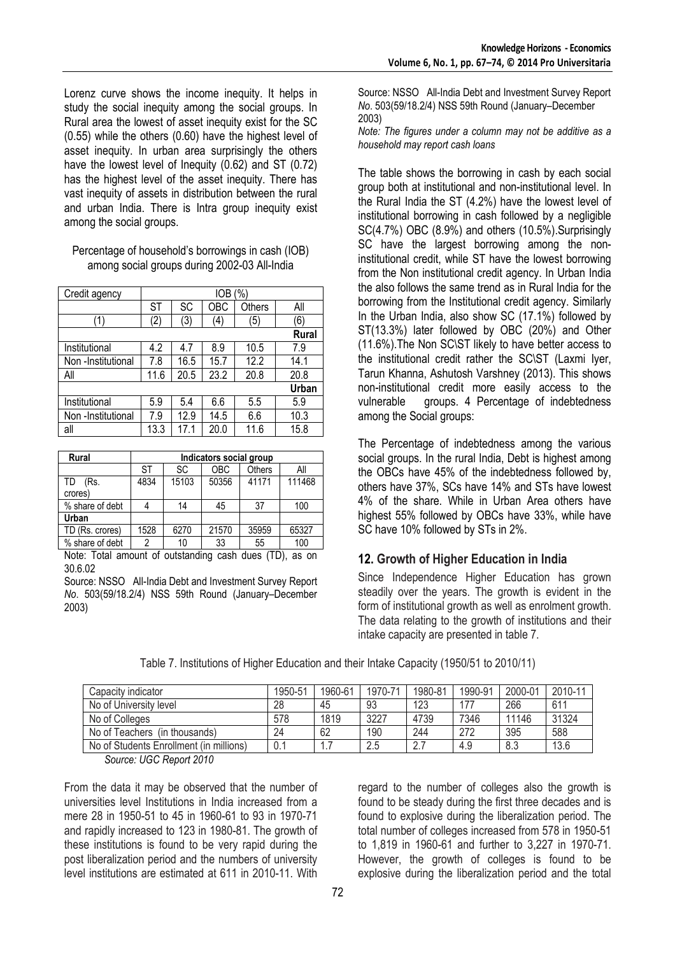Lorenz curve shows the income inequity. It helps in study the social inequity among the social groups. In Rural area the lowest of asset inequity exist for the SC (0.55) while the others (0.60) have the highest level of asset inequity. In urban area surprisingly the others have the lowest level of Inequity (0.62) and ST (0.72) has the highest level of the asset inequity. There has vast inequity of assets in distribution between the rural and urban India. There is Intra group inequity exist among the social groups.

#### Percentage of household's borrowings in cash (IOB) among social groups during 2002-03 All-India

| Credit agency      | '%'<br>IOB |      |      |               |              |  |  |
|--------------------|------------|------|------|---------------|--------------|--|--|
|                    | ST         | SC   | OBC  | <b>Others</b> | All          |  |  |
| ้1)                | (2         | (3)  | (4)  | (5)           | (6)          |  |  |
|                    |            |      |      |               | <b>Rural</b> |  |  |
| Institutional      | 4.2        | 4.7  | 8.9  | 10.5          | 7.9          |  |  |
| Non -Institutional | 7.8        | 16.5 | 15.7 | 12.2          | 14.1         |  |  |
| All                | 11.6       | 20.5 | 23.2 | 20.8          | 20.8         |  |  |
|                    |            |      |      |               | Urban        |  |  |
| Institutional      | 5.9        | 5.4  | 6.6  | 5.5           | 5.9          |  |  |
| Non-Institutional  | 7.9        | 12.9 | 14.5 | 6.6           | 10.3         |  |  |
| all                | 13.3       | 17.1 | 20.0 | 11.6          | 15.8         |  |  |

| Rural           | Indicators social group |       |            |               |        |  |  |
|-----------------|-------------------------|-------|------------|---------------|--------|--|--|
|                 | SТ                      | SC    | <b>OBC</b> | <b>Others</b> | All    |  |  |
| TD<br>(Rs.      | 4834                    | 15103 | 50356      | 41171         | 111468 |  |  |
| crores)         |                         |       |            |               |        |  |  |
| % share of debt |                         | 14    | 45         | 37            | 100    |  |  |
| Urban           |                         |       |            |               |        |  |  |
| TD (Rs. crores) | 1528                    | 6270  | 21570      | 35959         | 65327  |  |  |
| % share of debt | າ                       | 10    | 33         | 55            | 100    |  |  |

Note: Total amount of outstanding cash dues (TD), as on 30.6.02

Source: NSSO All-India Debt and Investment Survey Report *No*. 503(59/18.2/4) NSS 59th Round (January–December 2003)

Source: NSSO All-India Debt and Investment Survey Report *No*. 503(59/18.2/4) NSS 59th Round (January–December 2003)

*Note: The figures under a column may not be additive as a household may report cash loans* 

The table shows the borrowing in cash by each social group both at institutional and non-institutional level. In the Rural India the ST (4.2%) have the lowest level of institutional borrowing in cash followed by a negligible SC(4.7%) OBC (8.9%) and others (10.5%).Surprisingly SC have the largest borrowing among the noninstitutional credit, while ST have the lowest borrowing from the Non institutional credit agency. In Urban India the also follows the same trend as in Rural India for the borrowing from the Institutional credit agency. Similarly In the Urban India, also show SC (17.1%) followed by ST(13.3%) later followed by OBC (20%) and Other (11.6%).The Non SC\ST likely to have better access to the institutional credit rather the SC\ST (Laxmi Iyer, Tarun Khanna, Ashutosh Varshney (2013). This shows non-institutional credit more easily access to the vulnerable groups. 4 Percentage of indebtedness among the Social groups:

The Percentage of indebtedness among the various social groups. In the rural India, Debt is highest among the OBCs have 45% of the indebtedness followed by, others have 37%, SCs have 14% and STs have lowest 4% of the share. While in Urban Area others have highest 55% followed by OBCs have 33%, while have SC have 10% followed by STs in 2%.

# **12. Growth of Higher Education in India**

Since Independence Higher Education has grown steadily over the years. The growth is evident in the form of institutional growth as well as enrolment growth. The data relating to the growth of institutions and their intake capacity are presented in table 7.

| Table 7. Institutions of Higher Education and their Intake Capacity (1950/51 to 2010/11) |  |  |  |
|------------------------------------------------------------------------------------------|--|--|--|
|                                                                                          |  |  |  |

| Capacity indicator                      | 1950-51 | 1960-61 | 1970-71 | 1980-81  | 1990-91 | 2000-01 | 2010-11 |
|-----------------------------------------|---------|---------|---------|----------|---------|---------|---------|
| No of University level                  | 28      | 45      | 93      | 123      | 177     | 266     | 611     |
| No of Colleges                          | 578     | 1819    | 3227    | 4739     | 7346    | 11146   | 31324   |
| No of Teachers (in thousands)           | 24      | 62      | 190     | 244      | 272     | 395     | 588     |
| No of Students Enrollment (in millions) |         | .       | 2.5     | <u>.</u> | 4.9     | 8.3     | 13.6    |

*Source: UGC Report 2010* 

From the data it may be observed that the number of universities level Institutions in India increased from a mere 28 in 1950-51 to 45 in 1960-61 to 93 in 1970-71 and rapidly increased to 123 in 1980-81. The growth of these institutions is found to be very rapid during the post liberalization period and the numbers of university level institutions are estimated at 611 in 2010-11. With regard to the number of colleges also the growth is found to be steady during the first three decades and is found to explosive during the liberalization period. The total number of colleges increased from 578 in 1950-51 to 1,819 in 1960-61 and further to 3,227 in 1970-71. However, the growth of colleges is found to be explosive during the liberalization period and the total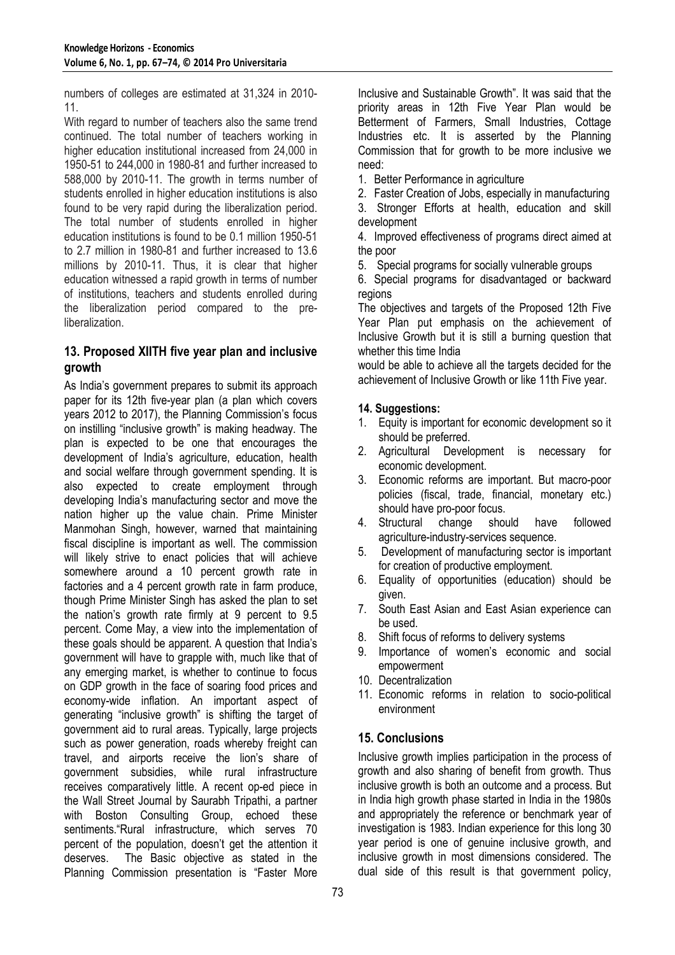numbers of colleges are estimated at 31,324 in 2010- 11.

With regard to number of teachers also the same trend continued. The total number of teachers working in higher education institutional increased from 24,000 in 1950-51 to 244,000 in 1980-81 and further increased to 588,000 by 2010-11. The growth in terms number of students enrolled in higher education institutions is also found to be very rapid during the liberalization period. The total number of students enrolled in higher education institutions is found to be 0.1 million 1950-51 to 2.7 million in 1980-81 and further increased to 13.6 millions by 2010-11. Thus, it is clear that higher education witnessed a rapid growth in terms of number of institutions, teachers and students enrolled during the liberalization period compared to the preliberalization.

# **13. Proposed XIITH five year plan and inclusive growth**

As India's government prepares to submit its approach paper for its 12th five-year plan (a plan which covers years 2012 to 2017), the Planning Commission's focus on instilling "inclusive growth" is making headway. The plan is expected to be one that encourages the development of India's agriculture, education, health and social welfare through government spending. It is also expected to create employment through developing India's manufacturing sector and move the nation higher up the value chain. Prime Minister Manmohan Singh, however, warned that maintaining fiscal discipline is important as well. The commission will likely strive to enact policies that will achieve somewhere around a 10 percent growth rate in factories and a 4 percent growth rate in farm produce. though Prime Minister Singh has asked the plan to set the nation's growth rate firmly at 9 percent to 9.5 percent. Come May, a view into the implementation of these goals should be apparent. A question that India's government will have to grapple with, much like that of any emerging market, is whether to continue to focus on GDP growth in the face of soaring food prices and economy-wide inflation. An important aspect of generating "inclusive growth" is shifting the target of government aid to rural areas. Typically, large projects such as power generation, roads whereby freight can travel, and airports receive the lion's share of government subsidies, while rural infrastructure receives comparatively little. A recent op-ed piece in the Wall Street Journal by Saurabh Tripathi, a partner with Boston Consulting Group, echoed these sentiments."Rural infrastructure, which serves 70 percent of the population, doesn't get the attention it deserves. The Basic objective as stated in the Planning Commission presentation is "Faster More

Inclusive and Sustainable Growth". It was said that the priority areas in 12th Five Year Plan would be Betterment of Farmers, Small Industries, Cottage Industries etc. It is asserted by the Planning Commission that for growth to be more inclusive we need:

1. Better Performance in agriculture

2. Faster Creation of Jobs, especially in manufacturing

3. Stronger Efforts at health, education and skill development

4. Improved effectiveness of programs direct aimed at the poor

5. Special programs for socially vulnerable groups

6. Special programs for disadvantaged or backward regions

The objectives and targets of the Proposed 12th Five Year Plan put emphasis on the achievement of Inclusive Growth but it is still a burning question that whether this time India

would be able to achieve all the targets decided for the achievement of Inclusive Growth or like 11th Five year.

## **14. Suggestions:**

- 1. Equity is important for economic development so it should be preferred.
- 2. Agricultural Development is necessary for economic development.
- 3. Economic reforms are important. But macro-poor policies (fiscal, trade, financial, monetary etc.) should have pro-poor focus.
- 4. Structural change should have followed agriculture-industry-services sequence.
- 5. Development of manufacturing sector is important for creation of productive employment.
- 6. Equality of opportunities (education) should be given.
- 7. South East Asian and East Asian experience can be used.
- 8. Shift focus of reforms to delivery systems
- 9. Importance of women's economic and social empowerment
- 10. Decentralization
- 11. Economic reforms in relation to socio-political environment

# **15. Conclusions**

Inclusive growth implies participation in the process of growth and also sharing of benefit from growth. Thus inclusive growth is both an outcome and a process. But in India high growth phase started in India in the 1980s and appropriately the reference or benchmark year of investigation is 1983. Indian experience for this long 30 year period is one of genuine inclusive growth, and inclusive growth in most dimensions considered. The dual side of this result is that government policy,